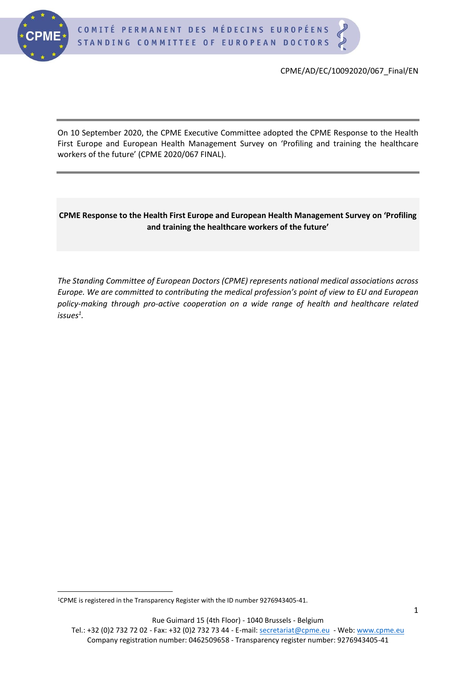

CPME/AD/EC/10092020/067\_Final/EN

On 10 September 2020, the CPME Executive Committee adopted the CPME Response to the Health First Europe and European Health Management Survey on 'Profiling and training the healthcare workers of the future' (CPME 2020/067 FINAL).

#### **CPME Response to the Health First Europe and European Health Management Survey on 'Profiling and training the healthcare workers of the future'**

*The Standing Committee of European Doctors (CPME) represents national medical associations across Europe. We are committed to contributing the medical profession's point of view to EU and European policy-making through pro-active cooperation on a wide range of health and healthcare related issues<sup>1</sup> .*

Tel.: +32 (0)2 732 72 02 - Fax: +32 (0)2 732 73 44 - E-mail: [secretariat@cpme.eu](mailto:secretariat@cpme.eu) - Web[: www.cpme.eu](http://www.cpme.eu/) Company registration number: 0462509658 - Transparency register number: 9276943405-41

<sup>1</sup>CPME is registered in the Transparency Register with the ID number 9276943405-41.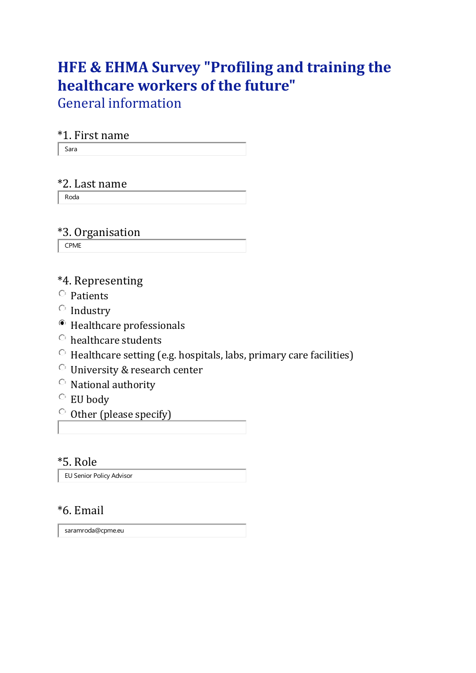# **HFE & EHMA Survey "Profiling and training the healthcare workers of the future"**

General information

### \*1. First name

Sara

#### \*2. Last name

Roda

# \*3. Organisation

CPME

## \*4. Representing

- $\circ$  Patients
- $\circ$  Industry
- Healthcare professionals
- healthcare students
- $\circ$  Healthcare setting (e.g. hospitals, labs, primary care facilities)
- University & research center
- $\circ$  National authority
- EU body
- $\circ$  Other (please specify)

#### \*5. Role

EU Senior Policy Advisor

### \*6. Email

saramroda@cpme.eu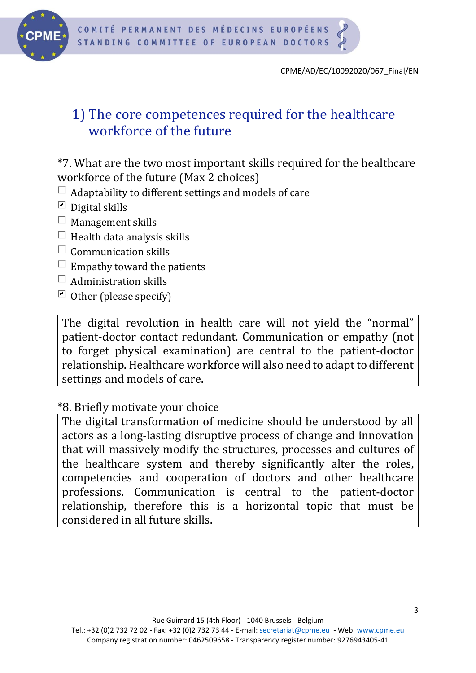

# 1) The core competences required for the healthcare workforce of the future

\*7. What are the two most important skills required for the healthcare workforce of the future (Max 2 choices)

- $\Box$  Adaptability to different settings and models of care
- $\Box$  Digital skills
- $\Box$  Management skills
- $\Box$  Health data analysis skills
- $\Box$  Communication skills
- $\Box$  Empathy toward the patients
- $\Box$  Administration skills
- $\Box$  Other (please specify)

The digital revolution in health care will not yield the "normal" patient-doctor contact redundant. Communication or empathy (not to forget physical examination) are central to the patient-doctor relationship. Healthcare workforce will also need to adapt to different settings and models of care.

### \*8. Briefly motivate your choice

The digital transformation of medicine should be understood by all actors as a long-lasting disruptive process of change and innovation that will massively modify the structures, processes and cultures of the healthcare system and thereby significantly alter the roles, competencies and cooperation of doctors and other healthcare professions. Communication is central to the patient-doctor relationship, therefore this is a horizontal topic that must be considered in all future skills.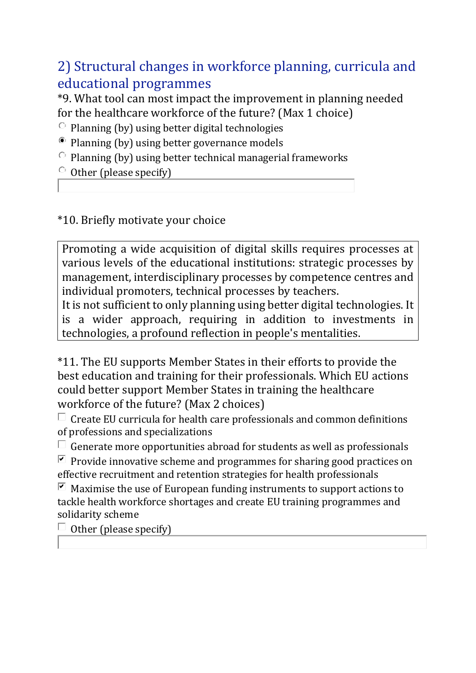2) Structural changes in workforce planning, curricula and educational programmes

\*9. What tool can most impact the improvement in planning needed for the healthcare workforce of the future? (Max 1 choice)

- $\circ$  Planning (by) using better digital technologies
- <sup>®</sup> Planning (by) using better governance models
- $\circ$  Planning (by) using better technical managerial frameworks
- $\circ$  Other (please specify)

## \*10. Briefly motivate your choice

Promoting a wide acquisition of digital skills requires processes at various levels of the educational institutions: strategic processes by management, interdisciplinary processes by competence centres and individual promoters, technical processes by teachers.

It is not sufficient to only planning using better digital technologies. It is a wider approach, requiring in addition to investments in technologies, a profound reflection in people's mentalities.

\*11. The EU supports Member States in their efforts to provide the best education and training for their professionals. Which EU actions could better support Member States in training the healthcare workforce of the future? (Max 2 choices)

 $\Box$  Create EU curricula for health care professionals and common definitions of professions and specializations

 $\Box$  Generate more opportunities abroad for students as well as professionals

P Provide innovative scheme and programmes for sharing good practices on effective recruitment and retention strategies for health professionals

 $\Box$  Maximise the use of European funding instruments to support actions to tackle health workforce shortages and create EU training programmes and solidarity scheme

 $\Box$  Other (please specify)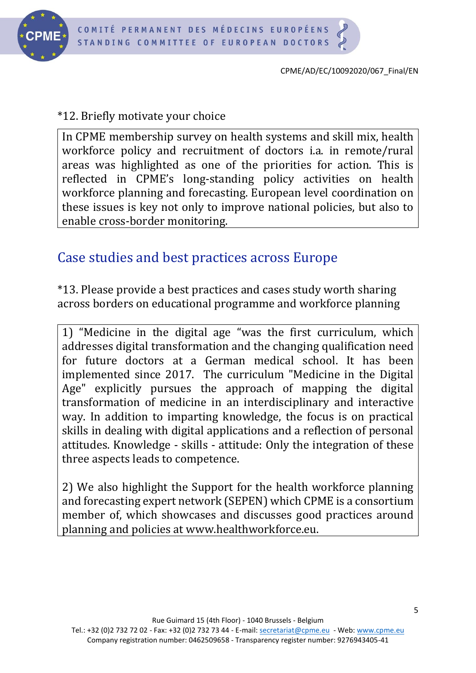

CPME/AD/EC/10092020/067\_Final/EN

# \*12. Briefly motivate your choice

In CPME membership survey on health systems and skill mix, health workforce policy and recruitment of doctors i.a. in remote/rural areas was highlighted as one of the priorities for action. This is reflected in CPME's long-standing policy activities on health workforce planning and forecasting. European level coordination on these issues is key not only to improve national policies, but also to enable cross-border monitoring.

# Case studies and best practices across Europe

\*13. Please provide a best practices and cases study worth sharing across borders on educational programme and workforce planning

1) "Medicine in the digital age "was the first curriculum, which addresses digital transformation and the changing qualification need for future doctors at a German medical school. It has been implemented since 2017. The curriculum "Medicine in the Digital Age" explicitly pursues the approach of mapping the digital transformation of medicine in an interdisciplinary and interactive way. In addition to imparting knowledge, the focus is on practical skills in dealing with digital applications and a reflection of personal attitudes. Knowledge - skills - attitude: Only the integration of these three aspects leads to competence.

2) We also highlight the Support for the health workforce planning and forecasting expert network (SEPEN) which CPME is a consortium member of, which showcases and discusses good practices around planning and policies at www.healthworkforce.eu.